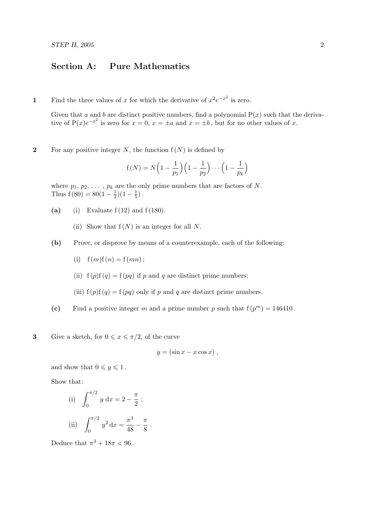## Section A: Pure Mathematics

1 Find the three values of x for which the derivative of  $x^2e^{-x^2}$  is zero.

Given that a and b are distinct positive numbers, find a polynomial  $P(x)$  such that the derivative of  $P(x)e^{-x^2}$  is zero for  $x=0$ ,  $x=\pm a$  and  $x=\pm b$ , but for no other values of x.

2 For any positive integer N, the function  $f(N)$  is defined by

$$
f(N) = N\left(1 - \frac{1}{p_1}\right)\left(1 - \frac{1}{p_2}\right)\cdots\left(1 - \frac{1}{p_k}\right)
$$

where  $p_1, p_2, \ldots, p_k$  are the only prime numbers that are factors of N. Thus  $f(80) = 80(1 - \frac{1}{2})$  $(\frac{1}{2})(1-\frac{1}{5})$  $\frac{1}{5}$ ).

- (a) (i) Evaluate  $f(12)$  and  $f(180)$ .
	- (ii) Show that  $f(N)$  is an integer for all N.
- (b) Prove, or disprove by means of a counterexample, each of the following:
	- (i)  $f(m)f(n) = f(mn)$ ;
	- (ii)  $f(p)f(q) = f(pq)$  if p and q are distinct prime numbers;

.

- (iii)  $f(p)f(q) = f(pq)$  only if p and q are distinct prime numbers.
- (c) Find a positive integer m and a prime number p such that  $f(p^m) = 146410$ .

**3** Give a sketch, for  $0 \leqslant x \leqslant \pi/2$ , of the curve

$$
y = (\sin x - x \cos x) ,
$$

and show that  $0 \leq y \leq 1$ .

Show that:

(i) 
$$
\int_0^{\pi/2} y \, dx = 2 - \frac{\pi}{2}
$$
;  
\n(ii)  $\int_0^{\pi/2} y^2 \, dx = \frac{\pi^3}{48} - \frac{\pi}{8}$ 

Deduce that  $\pi^3 + 18\pi < 96$ .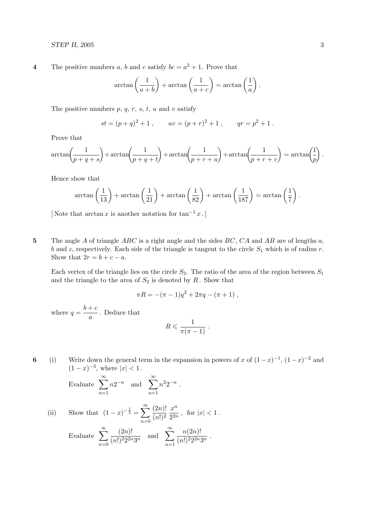**4** The positive numbers a, b and c satisfy  $bc = a^2 + 1$ . Prove that

$$
\arctan\left(\frac{1}{a+b}\right) + \arctan\left(\frac{1}{a+c}\right) = \arctan\left(\frac{1}{a}\right).
$$

The positive numbers  $p, q, r, s, t, u$  and v satisfy

$$
st = (p+q)^2 + 1
$$
,  $uv = (p+r)^2 + 1$ ,  $qr = p^2 + 1$ .

Prove that

$$
\arctan\left(\frac{1}{p+q+s}\right) + \arctan\left(\frac{1}{p+q+t}\right) + \arctan\left(\frac{1}{p+r+u}\right) + \arctan\left(\frac{1}{p+r+v}\right) = \arctan\left(\frac{1}{p}\right).
$$

Hence show that

$$
\arctan\left(\frac{1}{13}\right) + \arctan\left(\frac{1}{21}\right) + \arctan\left(\frac{1}{82}\right) + \arctan\left(\frac{1}{187}\right) = \arctan\left(\frac{1}{7}\right).
$$

[Note that  $\arctan x$  is another notation for  $\tan^{-1} x$ .]

5 The angle A of triangle  $ABC$  is a right angle and the sides  $BC$ ,  $CA$  and  $AB$  are of lengths a, b and c, respectively. Each side of the triangle is tangent to the circle  $S_1$  which is of radius r. Show that  $2r = b + c - a$ .

Each vertex of the triangle lies on the circle  $S_2$ . The ratio of the area of the region between  $S_1$ and the triangle to the area of  $S_2$  is denoted by  $R$ . Show that

$$
\pi R = -(\pi - 1)q^2 + 2\pi q - (\pi + 1) ,
$$

where  $q = \frac{b+c}{c}$  $\frac{1}{a}$ . Deduce that

$$
R\leqslant \frac{1}{\pi(\pi-1)}\;.
$$

6 (i) Write down the general term in the expansion in powers of x of  $(1-x)^{-1}$ ,  $(1-x)^{-2}$  and  $(1-x)^{-3}$ , where  $|x| < 1$ .

> Evaluate  $\sum_{n=0}^{\infty}$  $n=1$  $n2^{-n}$  and  $\sum_{n=0}^{\infty}$  $n=1$  $n^2 2^{-n}$ .

(ii) Show that 
$$
(1 - x)^{-\frac{1}{2}} = \sum_{n=0}^{\infty} \frac{(2n)!}{(n!)^2} \frac{x^n}{2^{2n}}
$$
, for  $|x| < 1$ .  
Evaluate  $\sum_{n=0}^{\infty} \frac{(2n)!}{(n!)^2 2^{2n} 3^n}$  and  $\sum_{n=1}^{\infty} \frac{n(2n)!}{(n!)^2 2^{2n} 3^n}$ .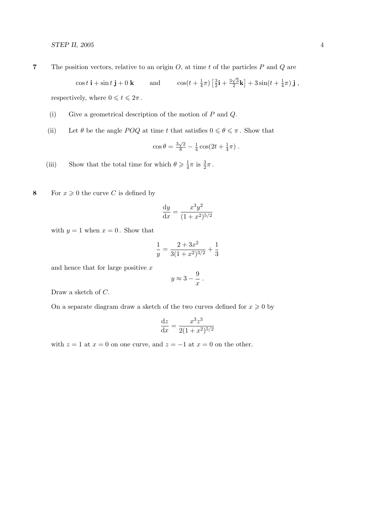**7** The position vectors, relative to an origin  $O$ , at time t of the particles  $P$  and  $Q$  are

$$
\cos t \, \mathbf{i} + \sin t \, \mathbf{j} + 0 \, \mathbf{k} \qquad \text{and} \qquad \cos(t + \frac{1}{4}\pi) \left[ \frac{3}{2} \mathbf{i} + \frac{3\sqrt{3}}{2} \mathbf{k} \right] + 3\sin(t + \frac{1}{4}\pi) \, \mathbf{j} \,,
$$

respectively, where  $0\leqslant t\leqslant 2\pi$  .

- (i) Give a geometrical description of the motion of  $P$  and  $Q$ .
- (ii) Let  $\theta$  be the angle POQ at time t that satisfies  $0 \le \theta \le \pi$ . Show that

$$
\cos \theta = \frac{3\sqrt{2}}{8} - \frac{1}{4} \cos(2t + \frac{1}{4}\pi) \; .
$$

(iii) Show that the total time for which  $\theta \geq \frac{1}{4}$  $\frac{1}{4}\pi$  is  $\frac{3}{2}\pi$ .

8 For  $x \geq 0$  the curve C is defined by

$$
\frac{dy}{dx} = \frac{x^3 y^2}{(1+x^2)^{5/2}}
$$

with  $y = 1$  when  $x = 0$ . Show that

$$
\frac{1}{y} = \frac{2 + 3x^2}{3(1 + x^2)^{3/2}} + \frac{1}{3}
$$

and hence that for large positive  $x$ 

$$
y \approx 3 - \frac{9}{x} .
$$

Draw a sketch of C.

On a separate diagram draw a sketch of the two curves defined for  $x\geqslant 0$  by

$$
\frac{\mathrm{d}z}{\mathrm{d}x} = \frac{x^3 z^3}{2(1+x^2)^{5/2}}
$$

with  $z = 1$  at  $x = 0$  on one curve, and  $z = -1$  at  $x = 0$  on the other.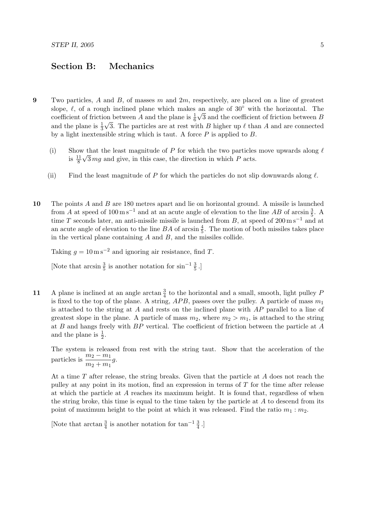## Section B: Mechanics

- 9 Two particles, A and B, of masses m and  $2m$ , respectively, are placed on a line of greatest slope,  $\ell$ , of a rough inclined plane which makes an angle of 30° with the horizontal. The coefficient of friction between A and the plane is  $\frac{1}{6}\sqrt{3}$  and the coefficient of friction between B and the plane is  $\frac{1}{3}\sqrt{3}$ . The particles are at rest with B higher up  $\ell$  than A and are connected by a light inextensible string which is taut. A force  $P$  is applied to  $B$ .
	- (i) Show that the least magnitude of P for which the two particles move upwards along  $\ell$ is  $\frac{11}{8}\sqrt{3}mg$  and give, in this case, the direction in which P acts.
	- (ii) Find the least magnitude of P for which the particles do not slip downwards along  $\ell$ .
- 10 The points A and B are 180 metres apart and lie on horizontal ground. A missile is launched from A at speed of  $100 \text{ m s}^{-1}$  and at an acute angle of elevation to the line AB of arcsin  $\frac{3}{5}$ . A time T seconds later, an anti-missile missile is launched from B, at speed of  $200 \,\mathrm{m\,s^{-1}}$  and at an acute angle of elevation to the line  $BA$  of arcsin  $\frac{4}{5}$ . The motion of both missiles takes place in the vertical plane containing  $A$  and  $B$ , and the missiles collide.

Taking  $g = 10 \text{ m s}^{-2}$  and ignoring air resistance, find T.

[Note that  $\arcsin \frac{3}{5}$  is another notation for  $\sin^{-1} \frac{3}{5}$ .]

11 A plane is inclined at an angle arctan  $\frac{3}{4}$  to the horizontal and a small, smooth, light pulley F is fixed to the top of the plane. A string,  $APB$ , passes over the pulley. A particle of mass  $m_1$ is attached to the string at A and rests on the inclined plane with  $AP$  parallel to a line of greatest slope in the plane. A particle of mass  $m_2$ , where  $m_2 > m_1$ , is attached to the string at B and hangs freely with BP vertical. The coefficient of friction between the particle at A and the plane is  $\frac{1}{2}$ .

The system is released from rest with the string taut. Show that the acceleration of the particles is  $\frac{m_2 - m_1}{\cdot}$  $\frac{m_2 - m_1}{m_2 + m_1}g.$ 

At a time T after release, the string breaks. Given that the particle at A does not reach the pulley at any point in its motion, find an expression in terms of T for the time after release at which the particle at A reaches its maximum height. It is found that, regardless of when the string broke, this time is equal to the time taken by the particle at  $A$  to descend from its point of maximum height to the point at which it was released. Find the ratio  $m_1 : m_2$ .

[Note that  $\arctan \frac{3}{4}$  is another notation for  $\tan^{-1} \frac{3}{4}$ .]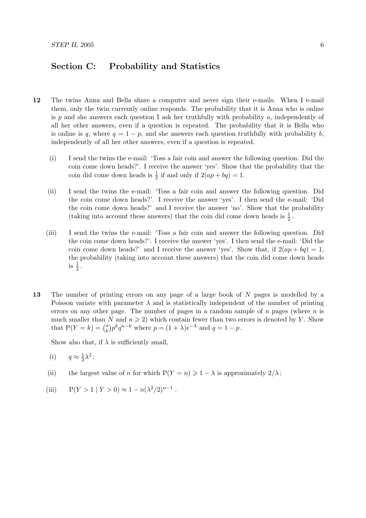## Section C: Probability and Statistics

- 12 The twins Anna and Bella share a computer and never sign their e-mails. When I e-mail them, only the twin currently online responds. The probability that it is Anna who is online is  $p$  and she answers each question I ask her truthfully with probability  $a$ , independently of all her other answers, even if a question is repeated. The probability that it is Bella who is online is q, where  $q = 1 - p$ , and she answers each question truthfully with probability b, independently of all her other answers, even if a question is repeated.
	- (i) I send the twins the e-mail: 'Toss a fair coin and answer the following question. Did the coin come down heads?'. I receive the answer 'yes'. Show that the probability that the coin did come down heads is  $\frac{1}{2}$  if and only if  $2(ap + bq) = 1$ .
	- (ii) I send the twins the e-mail: 'Toss a fair coin and answer the following question. Did the coin come down heads?'. I receive the answer 'yes'. I then send the e-mail: 'Did the coin come down heads?' and I receive the answer 'no'. Show that the probability (taking into account these answers) that the coin did come down heads is  $\frac{1}{2}$ .
	- (iii) I send the twins the e-mail: 'Toss a fair coin and answer the following question. Did the coin come down heads?'. I receive the answer 'yes'. I then send the e-mail: 'Did the coin come down heads?' and I receive the answer 'yes'. Show that, if  $2(ap + bq) = 1$ , the probability (taking into account these answers) that the coin did come down heads is  $\frac{1}{2}$ .
- 13 The number of printing errors on any page of a large book of N pages is modelled by a Poisson variate with parameter  $\lambda$  and is statistically independent of the number of printing errors on any other page. The number of pages in a random sample of  $n$  pages (where  $n$  is much smaller than N and  $n \geq 2$ ) which contain fewer than two errors is denoted by Y. Show that  $P(Y = k) = \binom{n}{k}$  $(k) p^k q^{n-k}$  where  $p = (1 + \lambda)e^{-\lambda}$  and  $q = 1 - p$ .

Show also that, if  $\lambda$  is sufficiently small,

(i) 
$$
q \approx \frac{1}{2}\lambda^2
$$
;

- (ii) the largest value of n for which  $P(Y = n) \geq 1 \lambda$  is approximately  $2/\lambda$ ;
- (iii)  $P(Y > 1 | Y > 0) \approx 1 n(\lambda^2/2)^{n-1}$ .